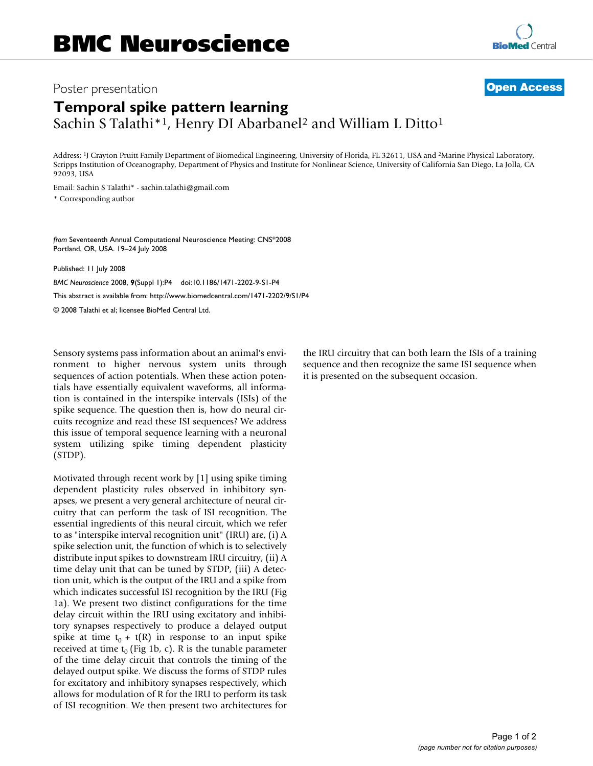### Poster presentation **Contract Contract Contract Contract Contract Contract Contract Contract Contract Contract Contract Contract Contract Contract Contract Contract Contract Contract Contract Contract Contract Contract Con**

# **[BioMed](http://www.biomedcentral.com/)** Central

## **Temporal spike pattern learning** Sachin S Talathi<sup>\*1</sup>, Henry DI Abarbanel<sup>2</sup> and William L Ditto<sup>1</sup>

Address: 1J Crayton Pruitt Family Department of Biomedical Engineering, University of Florida, FL 32611, USA and 2Marine Physical Laboratory, Scripps Institution of Oceanography, Department of Physics and Institute for Nonlinear Science, University of California San Diego, La Jolla, CA 92093, USA

Email: Sachin S Talathi\* - sachin.talathi@gmail.com

\* Corresponding author

*from* Seventeenth Annual Computational Neuroscience Meeting: CNS\*2008 Portland, OR, USA. 19–24 July 2008

Published: 11 July 2008

*BMC Neuroscience* 2008, **9**(Suppl 1):P4 doi:10.1186/1471-2202-9-S1-P4 [This abstract is available from: http://www.biomedcentral.com/1471-2202/9/S1/P4](http://www.biomedcentral.com/1471-2202/9/S1/P4) © 2008 Talathi et al; licensee BioMed Central Ltd.

Sensory systems pass information about an animal's environment to higher nervous system units through sequences of action potentials. When these action potentials have essentially equivalent waveforms, all information is contained in the interspike intervals (ISIs) of the spike sequence. The question then is, how do neural circuits recognize and read these ISI sequences? We address this issue of temporal sequence learning with a neuronal system utilizing spike timing dependent plasticity (STDP).

Motivated through recent work by [1] using spike timing dependent plasticity rules observed in inhibitory synapses, we present a very general architecture of neural circuitry that can perform the task of ISI recognition. The essential ingredients of this neural circuit, which we refer to as "interspike interval recognition unit" (IRU) are, (i) A spike selection unit, the function of which is to selectively distribute input spikes to downstream IRU circuitry, (ii) A time delay unit that can be tuned by STDP, (iii) A detection unit, which is the output of the IRU and a spike from which indicates successful ISI recognition by the IRU (Fig 1a). We present two distinct configurations for the time delay circuit within the IRU using excitatory and inhibitory synapses respectively to produce a delayed output spike at time  $t_0 + t(R)$  in response to an input spike received at time  $t_0$  (Fig 1b, c). R is the tunable parameter of the time delay circuit that controls the timing of the delayed output spike. We discuss the forms of STDP rules for excitatory and inhibitory synapses respectively, which allows for modulation of R for the IRU to perform its task of ISI recognition. We then present two architectures for the IRU circuitry that can both learn the ISIs of a training sequence and then recognize the same ISI sequence when it is presented on the subsequent occasion.